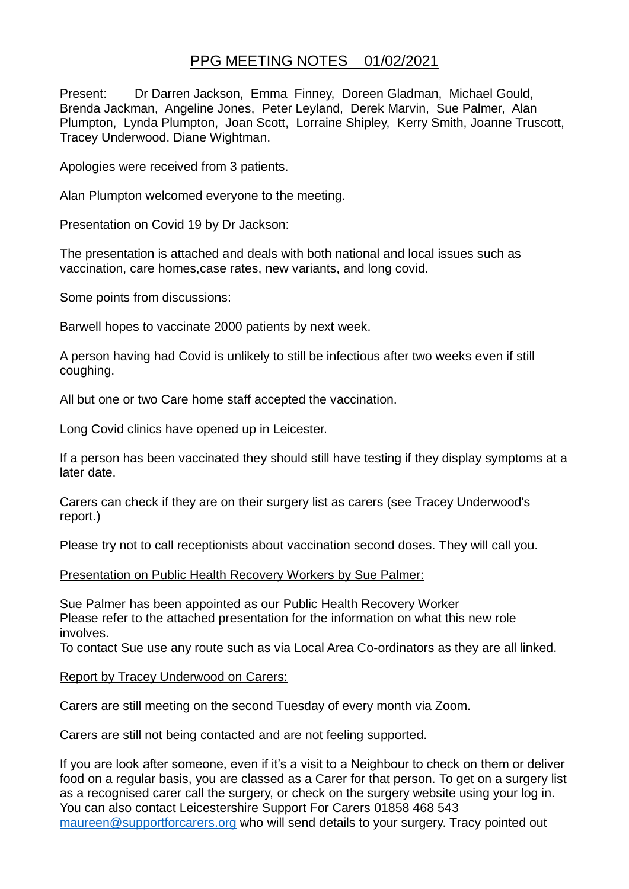# PPG MEETING NOTES 01/02/2021

Present: Dr Darren Jackson, Emma Finney, Doreen Gladman, Michael Gould, Brenda Jackman, Angeline Jones, Peter Leyland, Derek Marvin, Sue Palmer, Alan Plumpton, Lynda Plumpton, Joan Scott, Lorraine Shipley, Kerry Smith, Joanne Truscott, Tracey Underwood. Diane Wightman.

Apologies were received from 3 patients.

Alan Plumpton welcomed everyone to the meeting.

## Presentation on Covid 19 by Dr Jackson:

The presentation is attached and deals with both national and local issues such as vaccination, care homes,case rates, new variants, and long covid.

Some points from discussions:

Barwell hopes to vaccinate 2000 patients by next week.

A person having had Covid is unlikely to still be infectious after two weeks even if still coughing.

All but one or two Care home staff accepted the vaccination.

Long Covid clinics have opened up in Leicester.

If a person has been vaccinated they should still have testing if they display symptoms at a later date.

Carers can check if they are on their surgery list as carers (see Tracey Underwood's report.)

Please try not to call receptionists about vaccination second doses. They will call you.

## Presentation on Public Health Recovery Workers by Sue Palmer:

Sue Palmer has been appointed as our Public Health Recovery Worker Please refer to the attached presentation for the information on what this new role involves.

To contact Sue use any route such as via Local Area Co-ordinators as they are all linked.

## Report by Tracey Underwood on Carers:

Carers are still meeting on the second Tuesday of every month via Zoom.

Carers are still not being contacted and are not feeling supported.

If you are look after someone, even if it's a visit to a Neighbour to check on them or deliver food on a regular basis, you are classed as a Carer for that person. To get on a surgery list as a recognised carer call the surgery, or check on the surgery website using your log in. You can also contact Leicestershire Support For Carers 01858 468 543 [maureen@supportforcarers.org](mailto:maureen@supportforcarers.org) who will send details to your surgery. Tracy pointed out